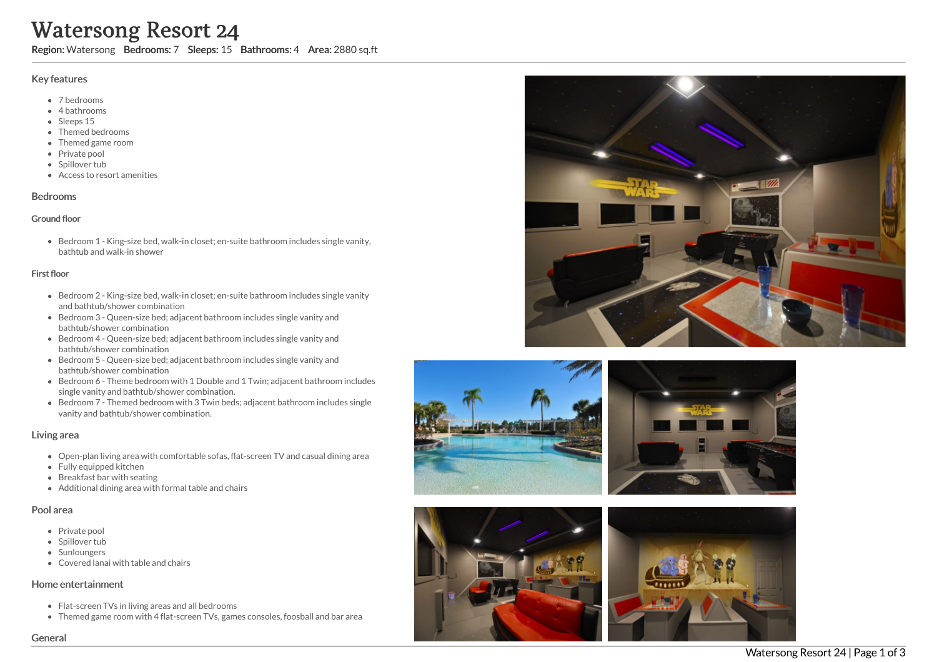# **Water**<br> **Algerign:** W<br> **Algerign:** Wey featur<br>
• 7 bee<br>
• Fine<br>
• Significant Priva<br>
• Significant Priva<br> **Bedrooms**<br> **Ground floo**<br>
• Bedriabith<br>
• Bedriabith<br>
• Bedriabith<br>
• Bedriabith<br>
• Bedriabith<br>
• Bedriabith<br>
• Be ersong Resort 24

Region: Watersong Bedrooms: 7 Sleeps: 15 Bathrooms: 4 Area: 2880 sq.ft

### Key features

- 7 b e d r o o m s
- 4 bathrooms
- Sleeps 15
- Themed bedrooms
- Themed game room
- Private pool
- Spillover tub
- Access to resort amenities

### **Bedrooms**

### Ground floor

Bedroom 1 - King-size bed, walk-in closet; en-suite bathroom includes single vanity, bathtub and walk-in shower

### First floor

- Bedroom 2 King-size bed, walk-in closet; en-suite bathroom includes single vanity and bathtub/shower combination
- Bedroom 3 Queen-size bed; adjacent bathroom includes single vanity and bathtub/shower combination
- Bedroom 4 Queen-size bed; adjacent bathroom includes single vanity and bathtub/shower combination
- Bedroom 5 Queen-size bed; adjacent bathroom includes single vanity and bathtub/shower combination
- Bedroom 6 Theme bedroom with 1 Double and 1 Twin; adjacent bathroom includes single vanity and bathtub/shower combination.
- Bedroom 7 Themed bedroom with 3 Twin beds; adjacent bathroom includes single vanity and bathtub/shower combination.

# Living area

- Open-plan living area with comfortable sofas, flat-screen TV and casual dining area
- Fully equipped kitchen
- Breakfast bar with seating
- Additional dining area with formal table and chairs

# Pool area

- Private pool
- Spillover tub
- Sunloungers
- Covered lanai with table and chairs

# Home entertainment

- Flat-screen TVs in living areas and all bedrooms
- Themed game room with 4 flat-screen TVs, games consoles, foosball and bar area











Genera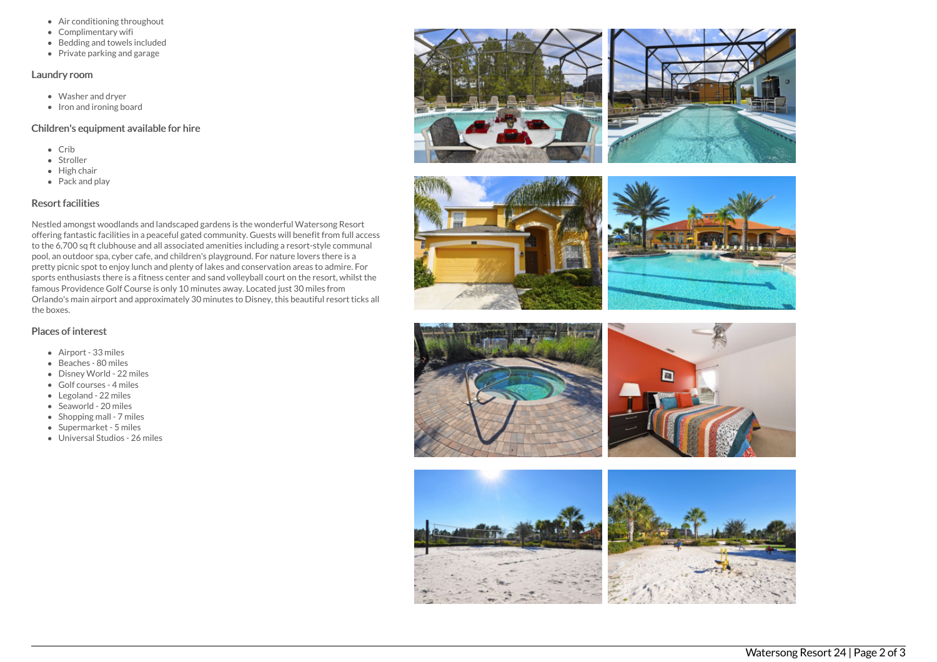- Air conditioning throughout
- Complimentary wifi
- Bedding and towels included
- Private parking and garage

### Laundry room

- Washer and dryer
- Iron and ironing board

# Children's equipment available for hire

- $\bullet$  Crib
- Stroller
- $\bullet$  High chair
- Pack and play

# Resort facilities

Nestled amongst woodlands and landscaped gardens is the wonderful Watersong Resort offering fantastic facilities in a peaceful gated community. Guests will benefit from full access to the 6,700 sq ft clubhouse and all associated amenities including a resort-style communal pool, an outdoor spa, cyber cafe, and children's playground. For nature lovers there is a pretty picnic spot to enjoy lunch and plenty of lakes and conservation areas to admire. For sports enthusiasts there is a fitness center and sand volleyball court on the resort, whilst the famous Providence Golf Course is only 10 minutes away. Located just 30 miles from Orlando's main airport and approximately 30 minutes to Disney, this beautiful resort ticks all the boxes.

# Places of interest

- Airport 33 miles
- Beaches 80 miles
- Disney World 22 miles
- Golf courses 4 miles
- Legoland 22 miles
- Seaworld 20 miles
- $\bullet$  Shopping mall 7 miles
- Supermarket 5 miles
- Universal Studios 26 miles